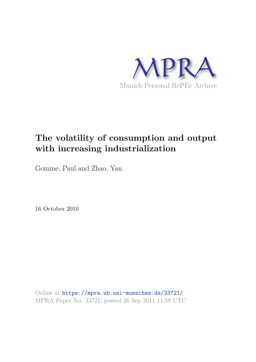

## **The volatility of consumption and output with increasing industrialization**

Gomme, Paul and Zhao, Yan

16 October 2010

Online at https://mpra.ub.uni-muenchen.de/33721/ MPRA Paper No. 33721, posted 26 Sep 2011 11:59 UTC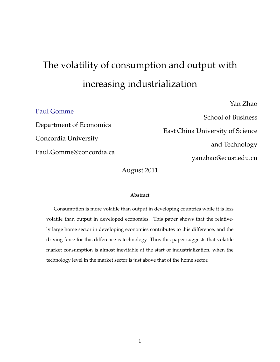# The volatility of consumption and output with increasing industrialization

### Paul Gomme

Department of Economics Concordia University Paul.Gomme@concordia.ca

School of Business East China University of Science and Technology yanzhao@ecust.edu.cn

Yan Zhao

August 2011

#### **Abstract**

Consumption is more volatile than output in developing countries while it is less volatile than output in developed economies. This paper shows that the relatively large home sector in developing economies contributes to this difference, and the driving force for this difference is technology. Thus this paper suggests that volatile market consumption is almost inevitable at the start of industrialization, when the technology level in the market sector is just above that of the home sector.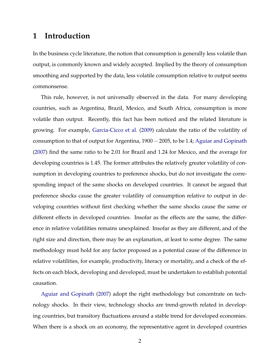## **1 Introduction**

In the business cycle literature, the notion that consumption is generally less volatile than output, is commonly known and widely accepted. Implied by the theory of consumption smoothing and supported by the data, less volatile consumption relative to output seems commonsense.

This rule, however, is not universally observed in the data. For many developing countries, such as Argentina, Brazil, Mexico, and South Africa, consumption is more volatile than output. Recently, this fact has been noticed and the related literature is growing. For example, Garcia-Cicco et al. (2009) calculate the ratio of the volatility of consumption to that of output for Argentina, 1900 − 2005, to be 1.4; Aguiar and Gopinath (2007) find the same ratio to be 2.01 for Brazil and 1.24 for Mexico, and the average for developing countries is 1.45. The former attributes the relatively greater volatility of consumption in developing countries to preference shocks, but do not investigate the corresponding impact of the same shocks on developed countries. It cannot be argued that preference shocks cause the greater volatility of consumption relative to output in developing countries without first checking whether the same shocks cause the same or different effects in developed countries. Insofar as the effects are the same, the difference in relative volatilities remains unexplained. Insofar as they are different, and of the right size and direction, there may be an explanation, at least to some degree. The same methodology must hold for any factor proposed as a potential cause of the difference in relative volatilities, for example, productivity, literacy or mortality, and a check of the effects on each block, developing and developed, must be undertaken to establish potential causation.

Aguiar and Gopinath (2007) adopt the right methodology but concentrate on technology shocks. In their view, technology shocks are trend-growth related in developing countries, but transitory fluctuations around a stable trend for developed economies. When there is a shock on an economy, the representative agent in developed countries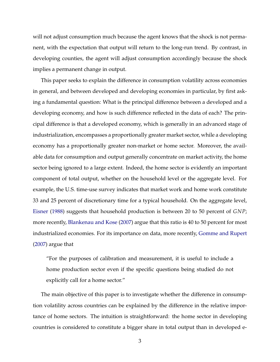will not adjust consumption much because the agent knows that the shock is not permanent, with the expectation that output will return to the long-run trend. By contrast, in developing counties, the agent will adjust consumption accordingly because the shock implies a permanent change in output.

This paper seeks to explain the difference in consumption volatility across economies in general, and between developed and developing economies in particular, by first asking a fundamental question: What is the principal difference between a developed and a developing economy, and how is such difference reflected in the data of each? The principal difference is that a developed economy, which is generally in an advanced stage of industrialization, encompasses a proportionally greater market sector, while a developing economy has a proportionally greater non-market or home sector. Moreover, the available data for consumption and output generally concentrate on market activity, the home sector being ignored to a large extent. Indeed, the home sector is evidently an important component of total output, whether on the household level or the aggregate level. For example, the U.S. time-use survey indicates that market work and home work constitute 33 and 25 percent of discretionary time for a typical household. On the aggregate level, Eisner (1988) suggests that household production is between 20 to 50 percent of *GNP*; more recently, Blankenau and Kose (2007) argue that this ratio is 40 to 50 percent for most industrialized economies. For its importance on data, more recently, Gomme and Rupert (2007) argue that

"For the purposes of calibration and measurement, it is useful to include a home production sector even if the specific questions being studied do not explicitly call for a home sector."

The main objective of this paper is to investigate whether the difference in consumption volatility across countries can be explained by the difference in the relative importance of home sectors. The intuition is straightforward: the home sector in developing countries is considered to constitute a bigger share in total output than in developed e-

3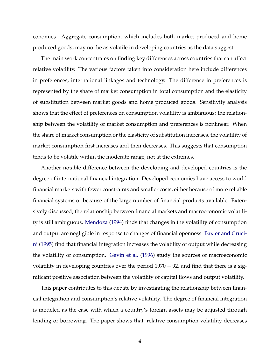conomies. Aggregate consumption, which includes both market produced and home produced goods, may not be as volatile in developing countries as the data suggest.

The main work concentrates on finding key differences across countries that can affect relative volatility. The various factors taken into consideration here include differences in preferences, international linkages and technology. The difference in preferences is represented by the share of market consumption in total consumption and the elasticity of substitution between market goods and home produced goods. Sensitivity analysis shows that the effect of preferences on consumption volatility is ambiguous: the relationship between the volatility of market consumption and preferences is nonlinear. When the share of market consumption or the elasticity of substitution increases, the volatility of market consumption first increases and then decreases. This suggests that consumption tends to be volatile within the moderate range, not at the extremes.

Another notable difference between the developing and developed countries is the degree of international financial integration. Developed economies have access to world financial markets with fewer constraints and smaller costs, either because of more reliable financial systems or because of the large number of financial products available. Extensively discussed, the relationship between financial markets and macroeconomic volatility is still ambiguous. Mendoza (1994) finds that changes in the volatility of consumption and output are negligible in response to changes of financial openness. Baxter and Crucini (1995) find that financial integration increases the volatility of output while decreasing the volatility of consumption. Gavin et al. (1996) study the sources of macroeconomic volatility in developing countries over the period  $1970 - 92$ , and find that there is a significant positive association between the volatility of capital flows and output volatility.

This paper contributes to this debate by investigating the relationship between financial integration and consumption's relative volatility. The degree of financial integration is modeled as the ease with which a country's foreign assets may be adjusted through lending or borrowing. The paper shows that, relative consumption volatility decreases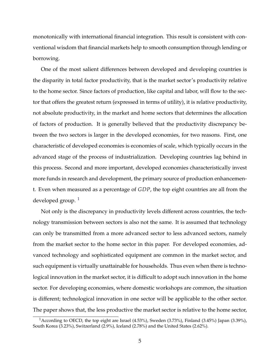monotonically with international financial integration. This result is consistent with conventional wisdom that financial markets help to smooth consumption through lending or borrowing.

One of the most salient differences between developed and developing countries is the disparity in total factor productivity, that is the market sector's productivity relative to the home sector. Since factors of production, like capital and labor, will flow to the sector that offers the greatest return (expressed in terms of utility), it is relative productivity, not absolute productivity, in the market and home sectors that determines the allocation of factors of production. It is generally believed that the productivity discrepancy between the two sectors is larger in the developed economies, for two reasons. First, one characteristic of developed economies is economies of scale, which typically occurs in the advanced stage of the process of industrialization. Developing countries lag behind in this process. Second and more important, developed economies characteristically invest more funds in research and development, the primary source of production enhancement. Even when measured as a percentage of *GDP*, the top eight countries are all from the developed group.  $\frac{1}{1}$ 

Not only is the discrepancy in productivity levels different across countries, the technology transmission between sectors is also not the same. It is assumed that technology can only be transmitted from a more advanced sector to less advanced sectors, namely from the market sector to the home sector in this paper. For developed economies, advanced technology and sophisticated equipment are common in the market sector, and such equipment is virtually unattainable for households. Thus even when there is technological innovation in the market sector, it is difficult to adopt such innovation in the home sector. For developing economies, where domestic workshops are common, the situation is different; technological innovation in one sector will be applicable to the other sector. The paper shows that, the less productive the market sector is relative to the home sector,

<sup>&</sup>lt;sup>1</sup> According to OECD, the top eight are Israel (4.53%), Sweden (3.73%), Finland (3.45%) Japan (3.39%), South Korea (3.23%), Switzerland (2.9%), Iceland (2.78%) and the United States (2.62%).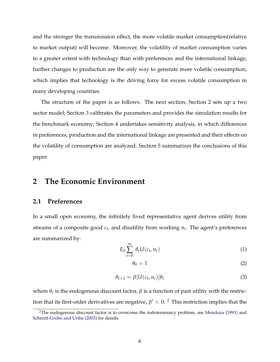and the stronger the transmission effect, the more volatile market consumption(relative to market output) will become. Moreover, the volatility of market consumption varies to a greater extent with technology than with preferences and the international linkage; further changes to production are the only way to generate more volatile consumption, which implies that technology is the driving force for excess volatile consumption in many developing countries.

The structure of the paper is as follows. The next section, Section 2 sets up a two sector model; Section 3 calibrates the parameters and provides the simulation results for the benchmark economy; Section 4 undertakes sensitivity analysis, in which differences in preferences, production and the international linkage are presented and their effects on the volatility of consumption are analyzed. Section 5 summarizes the conclusions of this paper.

## **2 The Economic Environment**

#### **2.1 Preferences**

In a small open economy, the infinitely lived representative agent derives utility from streams of a composite good *c<sup>t</sup>* , and disutility from working *n<sup>t</sup>* . The agent's preferences are summarized by:

$$
E_0 \sum_{t=0}^{\infty} \theta_t U(c_t, n_t) \tag{1}
$$

$$
\theta_0 = 1 \tag{2}
$$

$$
\theta_{t+1} = \beta [U(c_t, n_t)] \theta_t \tag{3}
$$

where  $\theta_t$  is the endogenous discount factor,  $\beta$  is a function of past utility with the restriction that its first-order derivatives are negative,  $\beta' < 0$ . <sup>2</sup> This restriction implies that the

<sup>&</sup>lt;sup>2</sup>The endogenous discount factor is to overcome the indeterminacy problem, see Mendoza (1991) and Schmitt-Grohe and Uribe (2003) for details.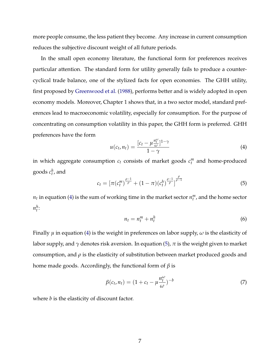more people consume, the less patient they become. Any increase in current consumption reduces the subjective discount weight of all future periods.

In the small open economy literature, the functional form for preferences receives particular attention. The standard form for utility generally fails to produce a countercyclical trade balance, one of the stylized facts for open economies. The GHH utility, first proposed by Greenwood et al. (1988), performs better and is widely adopted in open economy models. Moreover, Chapter 1 shows that, in a two sector model, standard preferences lead to macroeconomic volatility, especially for consumption. For the purpose of concentrating on consumption volatility in this paper, the GHH form is preferred. GHH preferences have the form

$$
u(c_t, n_t) = \frac{[c_t - \mu \frac{n_t^{\omega}}{\omega}]^{1-\gamma}}{1-\gamma}
$$
\n(4)

in which aggregate consumption  $c_t$  consists of market goods  $c_t^m$  and home-produced goods  $c_t^h$ , and

$$
c_t = \left[ \pi(c_t^m)^{\frac{\rho-1}{\rho}} + (1-\pi)(c_t^h)^{\frac{\rho-1}{\rho}} \right]^{\frac{\rho}{\rho-1}}
$$
(5)

 $n_t$  in equation (4) is the sum of working time in the market sector  $n_t^m$ , and the home sector  $n_t^h$ :

$$
n_t = n_t^m + n_t^h \tag{6}
$$

Finally *µ* in equation (4) is the weight in preferences on labor supply, *ω* is the elasticity of labor supply, and  $\gamma$  denotes risk aversion. In equation (5),  $\pi$  is the weight given to market consumption, and  $\rho$  is the elasticity of substitution between market produced goods and home made goods. Accordingly, the functional form of *β* is

$$
\beta(c_t, n_t) = (1 + c_t - \mu \frac{n_t^{\omega}}{\omega})^{-b}
$$
\n(7)

where *b* is the elasticity of discount factor.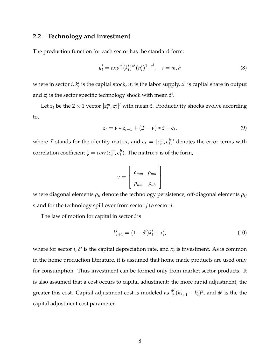#### **2.2 Technology and investment**

The production function for each sector has the standard form:

$$
y_t^i = exp^{z_t^i} (k_t^i)^{\alpha^i} (n_t^i)^{1-\alpha^i}, \quad i = m, h
$$
 (8)

where in sector *i*,  $k_t^i$  is the capital stock,  $n_t^i$  is the labor supply,  $\alpha^i$  is capital share in output and  $z_t^i$  is the sector specific technology shock with mean  $\bar{z}^i$ .

Let  $z_t$  be the 2  $\times$  1 vector  $[z_t^m,z_t^h]'$  with mean  $\bar{z}$ . Productivity shocks evolve according to,

$$
z_t = \nu * z_{t-1} + (\mathcal{I} - \nu) * \bar{z} + \epsilon_t, \tag{9}
$$

where  $\mathcal I$  stands for the identity matrix, and  $\epsilon_t = [\epsilon_t^m, \epsilon_t^h]'$  denotes the error terms with correlation coefficient  $\xi = corr(\epsilon_t^m, \epsilon_t^h)$ . The matrix  $\nu$  is of the form,

$$
v = \left[ \begin{array}{cc} \rho_{mm} & \rho_{mh} \\ \rho_{hm} & \rho_{hh} \end{array} \right]
$$

where diagonal elements *ρii* denote the technology persistence, off-diagonal elements *ρij* stand for the technology spill over from sector *j* to sector *i*.

The law of motion for capital in sector *i* is

$$
k_{t+1}^{i} = (1 - \delta^{i})k_{t}^{i} + x_{t}^{i},
$$
\n(10)

where for sector *i*,  $\delta^i$  is the capital depreciation rate, and  $x_t^i$  is investment. As is common in the home production literature, it is assumed that home made products are used only for consumption. Thus investment can be formed only from market sector products. It is also assumed that a cost occurs to capital adjustment: the more rapid adjustment, the greater this cost. Capital adjustment cost is modeled as *<sup>φ</sup> i*  $\frac{p^i}{2}(k_{t+1}^i - k_t^i)^2$ , and  $\phi^i$  is the the capital adjustment cost parameter.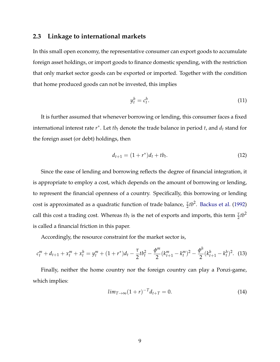#### **2.3 Linkage to international markets**

In this small open economy, the representative consumer can export goods to accumulate foreign asset holdings, or import goods to finance domestic spending, with the restriction that only market sector goods can be exported or imported. Together with the condition that home produced goods can not be invested, this implies

$$
y_t^h = c_t^h. \tag{11}
$$

It is further assumed that whenever borrowing or lending, this consumer faces a fixed international interest rate *r* ∗ . Let *tb<sup>t</sup>* denote the trade balance in period *t*, and *d<sup>t</sup>* stand for the foreign asset (or debt) holdings, then

$$
d_{t+1} = (1+r^*)d_t + tb_t.
$$
 (12)

Since the ease of lending and borrowing reflects the degree of financial integration, it is appropriate to employ a cost, which depends on the amount of borrowing or lending, to represent the financial openness of a country. Specifically, this borrowing or lending cost is approximated as a quadratic function of trade balance,  $\frac{\tau}{2}$ *tb*<sup>2</sup>. Backus et al. (1992) call this cost a trading cost. Whereas  $tb_t$  is the net of exports and imports, this term  $\frac{\tau}{2}tb^2$ is called a financial friction in this paper.

Accordingly, the resource constraint for the market sector is,

$$
c_t^m + d_{t+1} + x_t^m + x_t^h = y_t^m + (1 + r^*)d_t - \frac{\tau}{2}tb_t^2 - \frac{\phi^m}{2}(k_{t+1}^m - k_t^m)^2 - \frac{\phi^h}{2}(k_{t+1}^h - k_t^h)^2. \tag{13}
$$

Finally, neither the home country nor the foreign country can play a Ponzi-game, which implies:

$$
lim_{T \to \infty} (1+r)^{-T} d_{t+T} = 0.
$$
\n(14)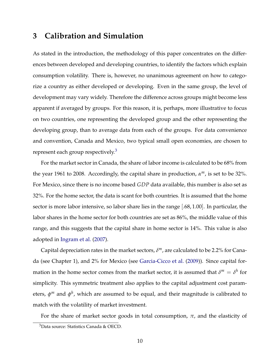## **3 Calibration and Simulation**

As stated in the introduction, the methodology of this paper concentrates on the differences between developed and developing countries, to identify the factors which explain consumption volatility. There is, however, no unanimous agreement on how to categorize a country as either developed or developing. Even in the same group, the level of development may vary widely. Therefore the difference across groups might become less apparent if averaged by groups. For this reason, it is, perhaps, more illustrative to focus on two countries, one representing the developed group and the other representing the developing group, than to average data from each of the groups. For data convenience and convention, Canada and Mexico, two typical small open economies, are chosen to represent each group respectively. $\delta$ 

For the market sector in Canada, the share of labor income is calculated to be 68% from the year 1961 to 2008. Accordingly, the capital share in production, *α <sup>m</sup>*, is set to be 32%. For Mexico, since there is no income based *GDP* data available, this number is also set as 32%. For the home sector, the data is scant for both countries. It is assumed that the home sector is more labor intensive, so labor share lies in the range [.68, 1.00]. In particular, the labor shares in the home sector for both countries are set as 86%, the middle value of this range, and this suggests that the capital share in home sector is 14%. This value is also adopted in Ingram et al. (2007).

Capital depreciation rates in the market sectors, *δ <sup>m</sup>*, are calculated to be 2.2% for Canada (see Chapter 1), and 2% for Mexico (see Garcia-Cicco et al. (2009)). Since capital formation in the home sector comes from the market sector, it is assumed that  $\delta^m = \delta^h$  for simplicity. This symmetric treatment also applies to the capital adjustment cost parameters, *φ <sup>m</sup>* and *φ h* , which are assumed to be equal, and their magnitude is calibrated to match with the volatility of market investment.

For the share of market sector goods in total consumption, *π*, and the elasticity of

<sup>3</sup>Data source: Statistics Canada & OECD.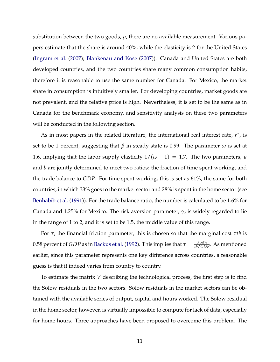substitution between the two goods, *ρ*, there are no available measurement. Various papers estimate that the share is around 40%, while the elasticity is 2 for the United States (Ingram et al. (2007); Blankenau and Kose (2007)). Canada and United States are both developed countries, and the two countries share many common consumption habits, therefore it is reasonable to use the same number for Canada. For Mexico, the market share in consumption is intuitively smaller. For developing countries, market goods are not prevalent, and the relative price is high. Nevertheless, it is set to be the same as in Canada for the benchmark economy, and sensitivity analysis on these two parameters will be conducted in the following section.

As in most papers in the related literature, the international real interest rate, *r*<sup>\*</sup>, is set to be 1 percent, suggesting that *β* in steady state is 0.99. The parameter *ω* is set at 1.6, implying that the labor supply elasticity  $1/(\omega - 1) = 1.7$ . The two parameters,  $\mu$ and *b* are jointly determined to meet two ratios: the fraction of time spent working, and the trade balance to *GDP*. For time spent working, this is set as 61%, the same for both countries, in which 33% goes to the market sector and 28% is spent in the home sector (see Benhabib et al. (1991)). For the trade balance ratio, the number is calculated to be 1.6% for Canada and 1.25% for Mexico. The risk aversion parameter, *γ*, is widely regarded to lie in the range of 1 to 2, and it is set to be 1.5, the middle value of this range.

For *τ*, the financial friction parameter, this is chosen so that the marginal cost *τtb* is 0.58 percent of *GDP* as in Backus et al. (1992). This implies that  $\tau = \frac{0.58\%}{tb/GDP}$ . As mentioned earlier, since this parameter represents one key difference across countries, a reasonable guess is that it indeed varies from country to country.

To estimate the matrix *V* describing the technological process, the first step is to find the Solow residuals in the two sectors. Solow residuals in the market sectors can be obtained with the available series of output, capital and hours worked. The Solow residual in the home sector, however, is virtually impossible to compute for lack of data, especially for home hours. Three approaches have been proposed to overcome this problem. The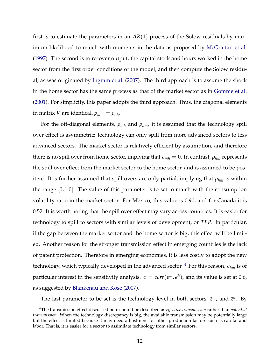first is to estimate the parameters in an  $AR(1)$  process of the Solow residuals by maximum likelihood to match with moments in the data as proposed by McGrattan et al. (1997). The second is to recover output, the capital stock and hours worked in the home sector from the first order conditions of the model, and then compute the Solow residual, as was originated by Ingram et al. (2007). The third approach is to assume the shock in the home sector has the same process as that of the market sector as in Gomme et al. (2001). For simplicity, this paper adopts the third approach. Thus, the diagonal elements in matrix *V* are identical,  $\rho_{mm} = \rho_{hh}$ .

For the off-diagonal elements,  $\rho_{mh}$  and  $\rho_{hm}$ , it is assumed that the technology spill over effect is asymmetric: technology can only spill from more advanced sectors to less advanced sectors. The market sector is relatively efficient by assumption, and therefore there is no spill over from home sector, implying that  $\rho_{mh} = 0$ . In contrast,  $\rho_{hm}$  represents the spill over effect from the market sector to the home sector, and is assumed to be positive. It is further assumed that spill overs are only partial, implying that *ρhm* is within the range  $[0, 1.0]$ . The value of this parameter is to set to match with the consumption volatility ratio in the market sector. For Mexico, this value is 0.90, and for Canada it is 0.52. It is worth noting that the spill over effect may vary across countries. It is easier for technology to spill to sectors with similar levels of development, or *TFP*. In particular, if the gap between the market sector and the home sector is big, this effect will be limited. Another reason for the stronger transmission effect in emerging countries is the lack of patent protection. Therefore in emerging economies, it is less costly to adopt the new technology, which typically developed in the advanced sector. <sup>4</sup> For this reason, *ρhm* is of particular interest in the sensitivity analysis.  $\xi = corr(\epsilon^m, \epsilon^h)$ , and its value is set at 0.6, as suggested by Blankenau and Kose (2007).

The last parameter to be set is the technology level in both sectors,  $\bar{z}^m$ , and  $\bar{z}^h$ . By

<sup>4</sup>The transmission effect discussed here should be described as *effective transmission* rather than *potential transmission*. When the technology discrepancy is big, the available transmission may be potentially large but the effect is limited because it may need adjustment for other production factors such as capital and labor. That is, it is easier for a sector to assimilate technology from similar sectors.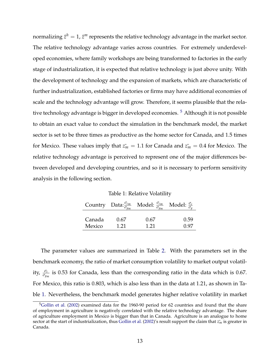normalizing  $\bar{z}^h = 1$ ,  $\bar{z}^m$  represents the relative technology advantage in the market sector. The relative technology advantage varies across countries. For extremely underdeveloped economies, where family workshops are being transformed to factories in the early stage of industrialization, it is expected that relative technology is just above unity. With the development of technology and the expansion of markets, which are characteristic of further industrialization, established factories or firms may have additional economies of scale and the technology advantage will grow. Therefore, it seems plausible that the relative technology advantage is bigger in developed economies.<sup>5</sup> Although it is not possible to obtain an exact value to conduct the simulation in the benchmark model, the market sector is set to be three times as productive as the home sector for Canada, and 1.5 times for Mexico. These values imply that  $z_m = 1.1$  for Canada and  $z_m = 0.4$  for Mexico. The relative technology advantage is perceived to represent one of the major differences between developed and developing countries, and so it is necessary to perform sensitivity analysis in the following section.

Table 1: Relative Volatility

|        |      | Country Data: $\frac{\sigma_{cm}}{\sigma_{ym}}$ Model: $\frac{\sigma_{cm}}{\sigma_{ym}}$ Model: $\frac{\sigma_{c}}{\sigma_{y}}$ |      |
|--------|------|---------------------------------------------------------------------------------------------------------------------------------|------|
| Canada | 0.67 | 0.67                                                                                                                            | 0.59 |
| Mexico | 1 21 | 1.21                                                                                                                            | 0.97 |

The parameter values are summarized in Table 2. With the parameters set in the benchmark economy, the ratio of market consumption volatility to market output volatility, *<sup>σ</sup><sup>c</sup> σym* is 0.53 for Canada, less than the corresponding ratio in the data which is 0.67. For Mexico, this ratio is 0.803, which is also less than in the data at 1.21, as shown in Table 1. Nevertheless, the benchmark model generates higher relative volatility in market

<sup>&</sup>lt;sup>5</sup>Gollin et al. (2002) examined data for the 1960-90 period for 62 countries and found that the share of employment in agriculture is negatively correlated with the relative technology advantage. The share of agriculture employment in Mexico is bigger than that in Canada. Agriculture is an analogue to home sector at the start of industrialization, thus Gollin et al. (2002)'s result support the claim that  $z<sub>m</sub>$  is greater in Canada.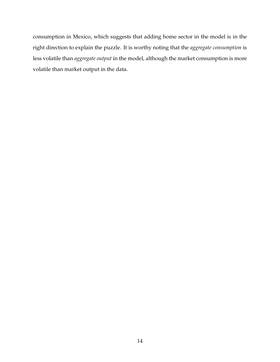consumption in Mexico, which suggests that adding home sector in the model is in the right direction to explain the puzzle. It is worthy noting that the *aggregate consumption* is less volatile than *aggregate output* in the model, although the market consumption is more volatile than market output in the data.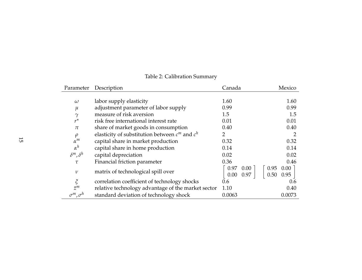| Parameter                    | Description                                        | Canada                | Mexico       |
|------------------------------|----------------------------------------------------|-----------------------|--------------|
|                              |                                                    |                       |              |
| $\omega$                     | labor supply elasticity                            | 1.60                  | 1.60         |
| $\mu$                        | adjustment parameter of labor supply               | 0.99                  | 0.99         |
| $\gamma$                     | measure of risk aversion                           | 1.5                   | 1.5          |
| $r^{\star}$                  | risk free international interest rate              | 0.01                  | 0.01         |
| $\pi$                        | share of market goods in consumption               | 0.40                  | 0.40         |
| $\rho$                       | elasticity of substitution between $c^m$ and $c^h$ | $\mathbf{2}^{\prime}$ | 2            |
| $\alpha^m$                   | capital share in market production                 | 0.32                  | 0.32         |
| $\alpha^h$                   | capital share in home production                   | 0.14                  | 0.14         |
| $\delta^m$ , $\delta^h$      | capital depreciation                               | 0.02                  | 0.02         |
| $\tau$                       | Financial friction parameter                       | 0.36                  | 0.46         |
| $\mathcal V$                 | matrix of technological spill over                 | 0.97<br>$0.00\,$      | 0.00<br>0.95 |
|                              |                                                    | 0.97<br>0.00          | 0.50<br>0.95 |
| $\boldsymbol{\tilde{\zeta}}$ | correlation coefficient of technology shocks       | 0.6                   | 0.6          |
| $\bar{z}^m$                  | relative technology advantage of the market sector | 1.10                  | 0.40         |
| $\sigma^m$ , $\sigma^h$      | standard deviation of technology shock             | 0.0063                | 0.0073       |

## Table 2: Calibration Summary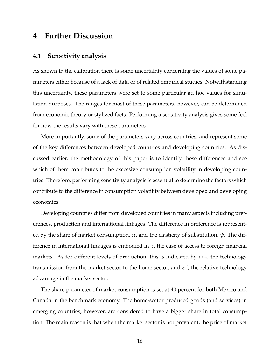## **4 Further Discussion**

#### **4.1 Sensitivity analysis**

As shown in the calibration there is some uncertainty concerning the values of some parameters either because of a lack of data or of related empirical studies. Notwithstanding this uncertainty, these parameters were set to some particular ad hoc values for simulation purposes. The ranges for most of these parameters, however, can be determined from economic theory or stylized facts. Performing a sensitivity analysis gives some feel for how the results vary with these parameters.

More importantly, some of the parameters vary across countries, and represent some of the key differences between developed countries and developing countries. As discussed earlier, the methodology of this paper is to identify these differences and see which of them contributes to the excessive consumption volatility in developing countries. Therefore, performing sensitivity analysis is essential to determine the factors which contribute to the difference in consumption volatility between developed and developing economies.

Developing countries differ from developed countries in many aspects including preferences, production and international linkages. The difference in preference is represented by the share of market consumption, *π*, and the elasticity of substitution, *ψ*. The difference in international linkages is embodied in *τ*, the ease of access to foreign financial markets. As for different levels of production, this is indicated by *ρhm*, the technology transmission from the market sector to the home sector, and  $\bar{z}^m$ , the relative technology advantage in the market sector.

The share parameter of market consumption is set at 40 percent for both Mexico and Canada in the benchmark economy. The home-sector produced goods (and services) in emerging countries, however, are considered to have a bigger share in total consumption. The main reason is that when the market sector is not prevalent, the price of market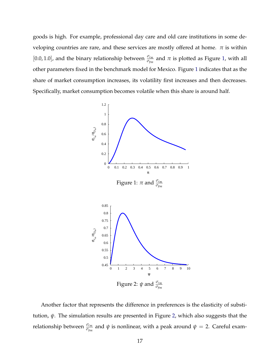goods is high. For example, professional day care and old care institutions in some developing countries are rare, and these services are mostly offered at home.  $\pi$  is within  $[0.0, 1.0]$ , and the binary relationship between  $\frac{\sigma_{cm}}{\sigma_{ym}}$  and  $\pi$  is plotted as Figure 1, with all other parameters fixed in the benchmark model for Mexico. Figure 1 indicates that as the share of market consumption increases, its volatility first increases and then decreases. Specifically, market consumption becomes volatile when this share is around half.



Another factor that represents the difference in preferences is the elasticity of substitution, *ψ*. The simulation results are presented in Figure 2, which also suggests that the relationship between  $\frac{\sigma_{c_m}}{\sigma_{y_m}}$  and  $ψ$  is nonlinear, with a peak around  $ψ = 2$ . Careful exam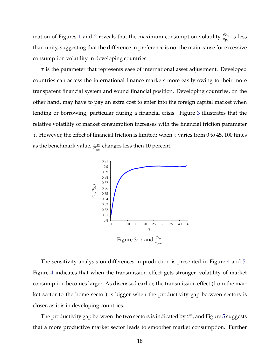ination of Figures 1 and 2 reveals that the maximum consumption volatility  $\frac{\sigma_{c_m}}{\sigma_{y_m}}$  is less than unity, suggesting that the difference in preference is not the main cause for excessive consumption volatility in developing countries.

*τ* is the parameter that represents ease of international asset adjustment. Developed countries can access the international finance markets more easily owing to their more transparent financial system and sound financial position. Developing countries, on the other hand, may have to pay an extra cost to enter into the foreign capital market when lending or borrowing, particular during a financial crisis. Figure 3 illustrates that the relative volatility of market consumption increases with the financial friction parameter *τ*. However, the effect of financial friction is limited: when *τ* varies from 0 to 45, 100 times as the benchmark value,  $\frac{\sigma_{\mathit{cm}}}{\sigma_{\mathit{ym}}}$  changes less then 10 percent.



The sensitivity analysis on differences in production is presented in Figure 4 and 5. Figure 4 indicates that when the transmission effect gets stronger, volatility of market consumption becomes larger. As discussed earlier, the transmission effect (from the market sector to the home sector) is bigger when the productivity gap between sectors is closer, as it is in developing countries.

The productivity gap between the two sectors is indicated by  $\bar{z}^m$ , and Figure 5 suggests that a more productive market sector leads to smoother market consumption. Further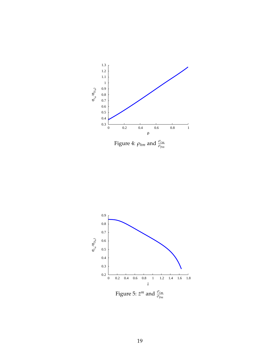

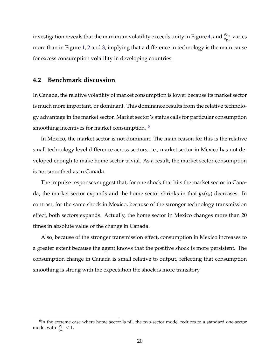investigation reveals that the maximum volatility exceeds unity in Figure 4, and  $\frac{\sigma_{c_m}}{\sigma_{y_m}}$  varies more than in Figure 1, 2 and 3, implying that a difference in technology is the main cause for excess consumption volatility in developing countries.

#### **4.2 Benchmark discussion**

In Canada, the relative volatility of market consumption is lower because its market sector is much more important, or dominant. This dominance results from the relative technology advantage in the market sector. Market sector's status calls for particular consumption smoothing incentives for market consumption.<sup>6</sup>

In Mexico, the market sector is not dominant. The main reason for this is the relative small technology level difference across sectors, i.e., market sector in Mexico has not developed enough to make home sector trivial. As a result, the market sector consumption is not smoothed as in Canada.

The impulse responses suggest that, for one shock that hits the market sector in Canada, the market sector expands and the home sector shrinks in that *y<sup>h</sup>* (*c<sup>h</sup>* ) decreases. In contrast, for the same shock in Mexico, because of the stronger technology transmission effect, both sectors expands. Actually, the home sector in Mexico changes more than 20 times in absolute value of the change in Canada.

Also, because of the stronger transmission effect, consumption in Mexico increases to a greater extent because the agent knows that the positive shock is more persistent. The consumption change in Canada is small relative to output, reflecting that consumption smoothing is strong with the expectation the shock is more transitory.

<sup>&</sup>lt;sup>6</sup>In the extreme case where home sector is nil, the two-sector model reduces to a standard one-sector model with  $\frac{\sigma_c}{\sigma_{ym}} < 1$ .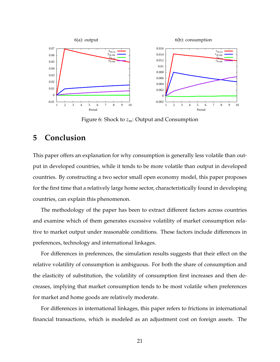

Figure 6: Shock to *zm*: Output and Consumption

## **5 Conclusion**

This paper offers an explanation for why consumption is generally less volatile than output in developed countries, while it tends to be more volatile than output in developed countries. By constructing a two sector small open economy model, this paper proposes for the first time that a relatively large home sector, characteristically found in developing countries, can explain this phenomenon.

The methodology of the paper has been to extract different factors across countries and examine which of them generates excessive volatility of market consumption relative to market output under reasonable conditions. These factors include differences in preferences, technology and international linkages.

For differences in preferences, the simulation results suggests that their effect on the relative volatility of consumption is ambiguous. For both the share of consumption and the elasticity of substitution, the volatility of consumption first increases and then decreases, implying that market consumption tends to be most volatile when preferences for market and home goods are relatively moderate.

For differences in international linkages, this paper refers to frictions in international financial transactions, which is modeled as an adjustment cost on foreign assets. The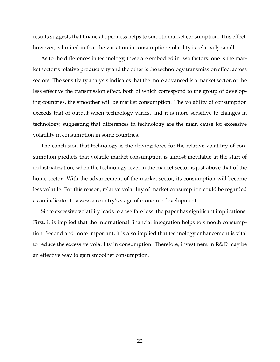results suggests that financial openness helps to smooth market consumption. This effect, however, is limited in that the variation in consumption volatility is relatively small.

As to the differences in technology, these are embodied in two factors: one is the market sector's relative productivity and the other is the technology transmission effect across sectors. The sensitivity analysis indicates that the more advanced is a market sector, or the less effective the transmission effect, both of which correspond to the group of developing countries, the smoother will be market consumption. The volatility of consumption exceeds that of output when technology varies, and it is more sensitive to changes in technology, suggesting that differences in technology are the main cause for excessive volatility in consumption in some countries.

The conclusion that technology is the driving force for the relative volatility of consumption predicts that volatile market consumption is almost inevitable at the start of industrialization, when the technology level in the market sector is just above that of the home sector. With the advancement of the market sector, its consumption will become less volatile. For this reason, relative volatility of market consumption could be regarded as an indicator to assess a country's stage of economic development.

Since excessive volatility leads to a welfare loss, the paper has significant implications. First, it is implied that the international financial integration helps to smooth consumption. Second and more important, it is also implied that technology enhancement is vital to reduce the excessive volatility in consumption. Therefore, investment in R&D may be an effective way to gain smoother consumption.

22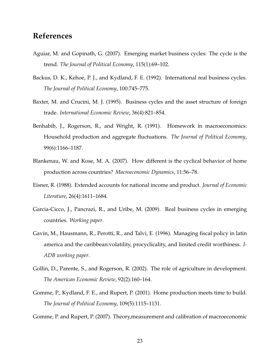## **References**

- Aguiar, M. and Gopinath, G. (2007). Emerging market business cycles: The cycle is the trend. *The Journal of Political Economy*, 115(1):69–102.
- Backus, D. K., Kehoe, P. J., and Kydland, F. E. (1992). International real business cycles. *The Journal of Political Economy*, 100:745–775.
- Baxter, M. and Crucini, M. J. (1995). Business cycles and the asset structure of foreign trade. *International Economic Review*, 36(4):821–854.
- Benhabib, J., Rogerson, R., and Wright, R. (1991). Homework in macroeconomics: Household production and aggregate fluctuations. *The Journal of Political Economy*, 99(6):1166–1187.
- Blankenau, W. and Kose, M. A. (2007). How different is the cyclical behavior of home production across countries? *Macroeconomic Dynamics*, 11:56–78.
- Eisner, R. (1988). Extended accounts for national income and product. *Journal of Economic Literature*, 26(4):1611–1684.
- Garcia-Cicco, J., Pancrazi, R., and Uribe, M. (2009). Real business cycles in emerging countries. *Working paper*.
- Gavin, M., Hausmann, R., Perotti, R., and Talvi, E. (1996). Managing fiscal policy in latin america and the caribbean:volatility, procyclicality, and limited credit worthiness. *I-ADB working paper*.
- Gollin, D., Parente, S., and Rogerson, R. (2002). The role of agriculture in development. *The American Economic Review*, 92(2):160–164.
- Gomme, P., Kydland, F. E., and Rupert, P. (2001). Home production meets time to build. *The Journal of Political Economy*, 109(5):1115–1131.

Gomme, P. and Rupert, P. (2007). Theory,measurement and calibration of macroeconomic